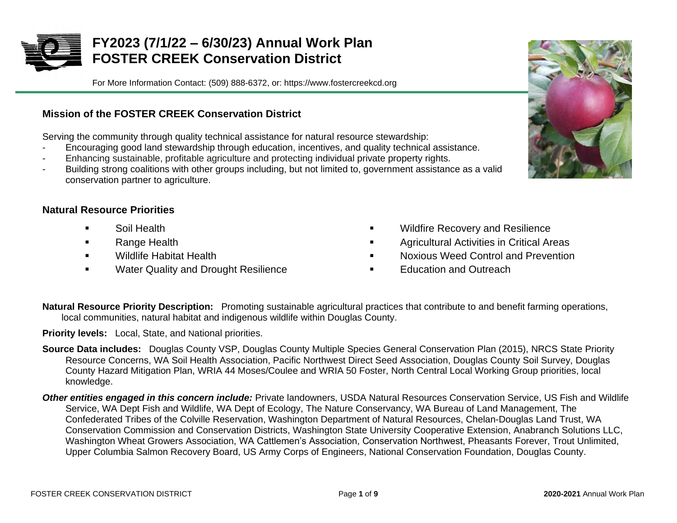

# **FY2023 (7/1/22 – 6/30/23) Annual Work Plan FOSTER CREEK Conservation District**

For More Information Contact: (509) 888-6372, or: https://www.fostercreekcd.org

## **Mission of the FOSTER CREEK Conservation District**

Serving the community through quality technical assistance for natural resource stewardship:

- Encouraging good land stewardship through education, incentives, and quality technical assistance.
- Enhancing sustainable, profitable agriculture and protecting individual private property rights.
- Building strong coalitions with other groups including, but not limited to, government assistance as a valid conservation partner to agriculture.

### **Natural Resource Priorities**

- Soil Health
- Range Health
- Wildlife Habitat Health
- Water Quality and Drought Resilience
- **Wildfire Recovery and Resilience**
- Agricultural Activities in Critical Areas
- **Noxious Weed Control and Prevention**
- **Education and Outreach**
- **Natural Resource Priority Description:** Promoting sustainable agricultural practices that contribute to and benefit farming operations, local communities, natural habitat and indigenous wildlife within Douglas County.

**Priority levels:** Local, State, and National priorities.

- **Source Data includes:** Douglas County VSP, Douglas County Multiple Species General Conservation Plan (2015), NRCS State Priority Resource Concerns, WA Soil Health Association, Pacific Northwest Direct Seed Association, Douglas County Soil Survey, Douglas County Hazard Mitigation Plan, WRIA 44 Moses/Coulee and WRIA 50 Foster, North Central Local Working Group priorities, local knowledge.
- *Other entities engaged in this concern include:* Private landowners, USDA Natural Resources Conservation Service, US Fish and Wildlife Service, WA Dept Fish and Wildlife, WA Dept of Ecology, The Nature Conservancy, WA Bureau of Land Management, The Confederated Tribes of the Colville Reservation, Washington Department of Natural Resources, Chelan-Douglas Land Trust, WA Conservation Commission and Conservation Districts, Washington State University Cooperative Extension, Anabranch Solutions LLC, Washington Wheat Growers Association, WA Cattlemen's Association, Conservation Northwest, Pheasants Forever, Trout Unlimited, Upper Columbia Salmon Recovery Board, US Army Corps of Engineers, National Conservation Foundation, Douglas County.

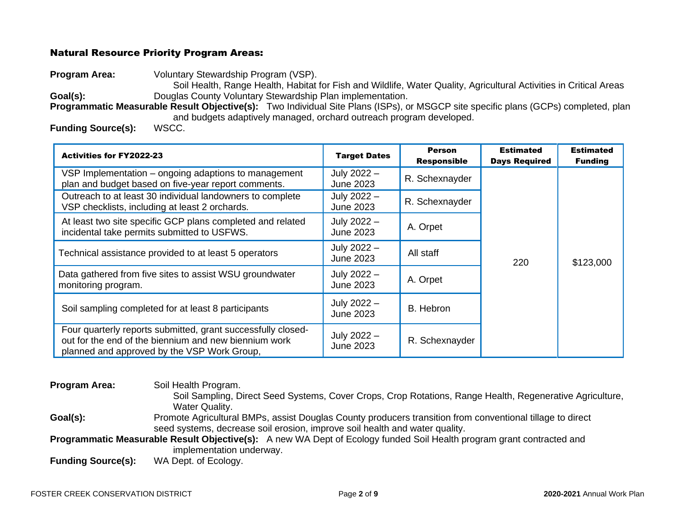#### Natural Resource Priority Program Areas:

**Program Area:** Voluntary Stewardship Program (VSP).

Soil Health, Range Health, Habitat for Fish and Wildlife, Water Quality, Agricultural Activities in Critical Areas Goal(s): Douglas County Voluntary Stewardship Plan implementation.

**Programmatic Measurable Result Objective(s):** Two Individual Site Plans (ISPs), or MSGCP site specific plans (GCPs) completed, plan and budgets adaptively managed, orchard outreach program developed.

**Funding Source(s):** WSCC.

| <b>Activities for FY2022-23</b>                                                                                                                                      | <b>Target Dates</b>             | <b>Person</b><br><b>Responsible</b> | <b>Estimated</b><br><b>Days Required</b> | <b>Estimated</b><br><b>Funding</b> |
|----------------------------------------------------------------------------------------------------------------------------------------------------------------------|---------------------------------|-------------------------------------|------------------------------------------|------------------------------------|
| VSP Implementation – ongoing adaptions to management<br>plan and budget based on five-year report comments.                                                          | July 2022 -<br><b>June 2023</b> | R. Schexnayder                      |                                          |                                    |
| Outreach to at least 30 individual landowners to complete<br>VSP checklists, including at least 2 orchards.                                                          | July 2022 -<br>June 2023        | R. Schexnayder                      |                                          |                                    |
| At least two site specific GCP plans completed and related<br>incidental take permits submitted to USFWS.                                                            | July 2022 -<br>June 2023        | A. Orpet                            |                                          |                                    |
| Technical assistance provided to at least 5 operators                                                                                                                | July 2022 -<br>June 2023        | All staff                           | 220                                      | \$123,000                          |
| Data gathered from five sites to assist WSU groundwater<br>monitoring program.                                                                                       | July 2022 -<br><b>June 2023</b> | A. Orpet                            |                                          |                                    |
| Soil sampling completed for at least 8 participants                                                                                                                  | July 2022 -<br>June 2023        | B. Hebron                           |                                          |                                    |
| Four quarterly reports submitted, grant successfully closed-<br>out for the end of the biennium and new biennium work<br>planned and approved by the VSP Work Group, | July 2022 -<br><b>June 2023</b> | R. Schexnayder                      |                                          |                                    |

**Program Area:** Soil Health Program. Soil Sampling, Direct Seed Systems, Cover Crops, Crop Rotations, Range Health, Regenerative Agriculture, Water Quality. Goal(s): Promote Agricultural BMPs, assist Douglas County producers transition from conventional tillage to direct seed systems, decrease soil erosion, improve soil health and water quality. **Programmatic Measurable Result Objective(s):** A new WA Dept of Ecology funded Soil Health program grant contracted and implementation underway.

**Funding Source(s):** WA Dept. of Ecology.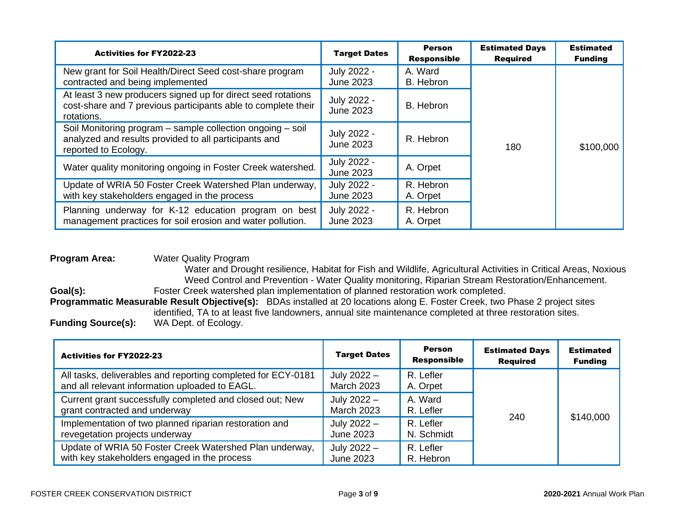| <b>Activities for FY2022-23</b>                                                                                                             | <b>Target Dates</b>             | <b>Person</b><br><b>Responsible</b> | <b>Estimated Days</b><br><b>Required</b> | <b>Estimated</b><br><b>Funding</b> |
|---------------------------------------------------------------------------------------------------------------------------------------------|---------------------------------|-------------------------------------|------------------------------------------|------------------------------------|
| New grant for Soil Health/Direct Seed cost-share program<br>contracted and being implemented                                                | July 2022 -<br><b>June 2023</b> | A. Ward<br>B. Hebron                |                                          |                                    |
| At least 3 new producers signed up for direct seed rotations<br>cost-share and 7 previous participants able to complete their<br>rotations. | July 2022 -<br><b>June 2023</b> | B. Hebron                           |                                          |                                    |
| Soil Monitoring program - sample collection ongoing - soil<br>analyzed and results provided to all participants and<br>reported to Ecology. | July 2022 -<br><b>June 2023</b> | R. Hebron                           | 180                                      | \$100,000                          |
| Water quality monitoring ongoing in Foster Creek watershed.                                                                                 | July 2022 -<br><b>June 2023</b> | A. Orpet                            |                                          |                                    |
| Update of WRIA 50 Foster Creek Watershed Plan underway,<br>with key stakeholders engaged in the process                                     | July 2022 -<br><b>June 2023</b> | R. Hebron<br>A. Orpet               |                                          |                                    |
| Planning underway for K-12 education program on best<br>management practices for soil erosion and water pollution.                          | July 2022 -<br><b>June 2023</b> | R. Hebron<br>A. Orpet               |                                          |                                    |

#### **Program Area:** Water Quality Program

Water and Drought resilience, Habitat for Fish and Wildlife, Agricultural Activities in Critical Areas, Noxious Weed Control and Prevention - Water Quality monitoring, Riparian Stream Restoration/Enhancement. Goal(s): Foster Creek watershed plan implementation of planned restoration work completed. **Programmatic Measurable Result Objective(s):** BDAs installed at 20 locations along E. Foster Creek, two Phase 2 project sites identified, TA to at least five landowners, annual site maintenance completed at three restoration sites.

**Funding Source(s):** WA Dept. of Ecology.

| <b>Activities for FY2022-23</b>                                                                                | <b>Target Dates</b>                | <b>Person</b><br><b>Responsible</b> | <b>Estimated Days</b><br><b>Required</b> | <b>Estimated</b><br><b>Funding</b> |
|----------------------------------------------------------------------------------------------------------------|------------------------------------|-------------------------------------|------------------------------------------|------------------------------------|
| All tasks, deliverables and reporting completed for ECY-0181<br>and all relevant information uploaded to EAGL. | July $2022 -$<br><b>March 2023</b> | R. Lefler<br>A. Orpet               |                                          |                                    |
| Current grant successfully completed and closed out; New<br>grant contracted and underway                      | July 2022 -<br><b>March 2023</b>   | A. Ward<br>R. Lefler                | 240                                      | \$140,000                          |
| Implementation of two planned riparian restoration and<br>revegetation projects underway                       | July 2022 -<br>June 2023           | R. Lefler<br>N. Schmidt             |                                          |                                    |
| Update of WRIA 50 Foster Creek Watershed Plan underway,<br>with key stakeholders engaged in the process        | July 2022 -<br><b>June 2023</b>    | R. Lefler<br>R. Hebron              |                                          |                                    |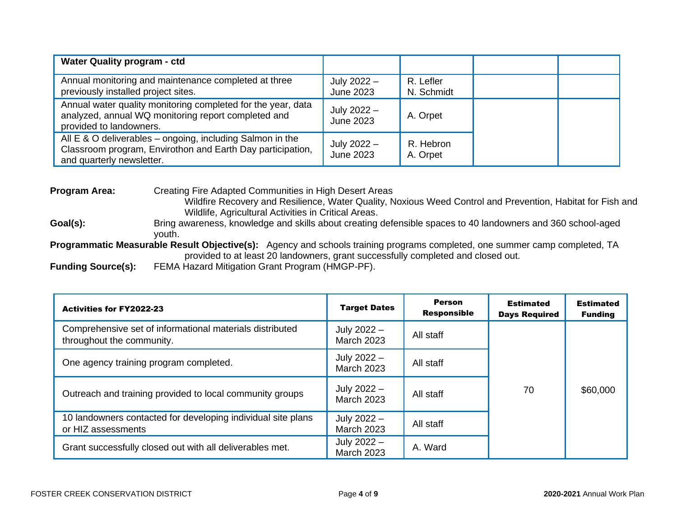| <b>Water Quality program - ctd</b>                                                                                                                   |                            |                         |  |
|------------------------------------------------------------------------------------------------------------------------------------------------------|----------------------------|-------------------------|--|
| Annual monitoring and maintenance completed at three<br>previously installed project sites.                                                          | July $2022 -$<br>June 2023 | R. Lefler<br>N. Schmidt |  |
| Annual water quality monitoring completed for the year, data<br>analyzed, annual WQ monitoring report completed and<br>provided to landowners.       | July $2022 -$<br>June 2023 | A. Orpet                |  |
| All E & O deliverables – ongoing, including Salmon in the<br>Classroom program, Envirothon and Earth Day participation,<br>and quarterly newsletter. | July 2022 -<br>June 2023   | R. Hebron<br>A. Orpet   |  |

**Program Area:** Creating Fire Adapted Communities in High Desert Areas Wildfire Recovery and Resilience, Water Quality, Noxious Weed Control and Prevention, Habitat for Fish and Wildlife, Agricultural Activities in Critical Areas. Goal(s): Bring awareness, knowledge and skills about creating defensible spaces to 40 landowners and 360 school-aged youth. **Programmatic Measurable Result Objective(s):** Agency and schools training programs completed, one summer camp completed, TA provided to at least 20 landowners, grant successfully completed and closed out. **Funding Source(s):** FEMA Hazard Mitigation Grant Program (HMGP-PF).

| <b>Activities for FY2022-23</b>                                                       | <b>Target Dates</b>                | <b>Person</b><br><b>Responsible</b> | <b>Estimated</b><br><b>Days Required</b> | <b>Estimated</b><br><b>Funding</b> |
|---------------------------------------------------------------------------------------|------------------------------------|-------------------------------------|------------------------------------------|------------------------------------|
| Comprehensive set of informational materials distributed<br>throughout the community. | July 2022 -<br><b>March 2023</b>   | All staff                           |                                          |                                    |
| One agency training program completed.                                                | July 2022 -<br><b>March 2023</b>   | All staff                           |                                          |                                    |
| Outreach and training provided to local community groups                              | July $2022 -$<br><b>March 2023</b> | All staff                           | 70                                       | \$60,000                           |
| 10 landowners contacted for developing individual site plans<br>or HIZ assessments    | July 2022 -<br><b>March 2023</b>   | All staff                           |                                          |                                    |
| Grant successfully closed out with all deliverables met.                              | July 2022 -<br><b>March 2023</b>   | A. Ward                             |                                          |                                    |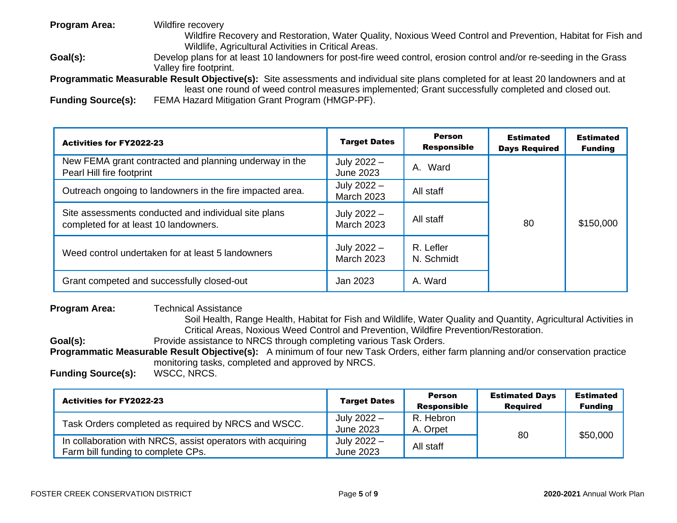**Program Area:** Wildfire recovery Wildfire Recovery and Restoration, Water Quality, Noxious Weed Control and Prevention, Habitat for Fish and Wildlife, Agricultural Activities in Critical Areas.

Goal(s): Develop plans for at least 10 landowners for post-fire weed control, erosion control and/or re-seeding in the Grass Valley fire footprint.

**Programmatic Measurable Result Objective(s):** Site assessments and individual site plans completed for at least 20 landowners and at least one round of weed control measures implemented; Grant successfully completed and closed out.

**Funding Source(s):** FEMA Hazard Mitigation Grant Program (HMGP-PF).

| <b>Activities for FY2022-23</b>                                                               | <b>Target Dates</b>                | <b>Person</b><br><b>Responsible</b> | <b>Estimated</b><br><b>Days Required</b> | <b>Estimated</b><br><b>Funding</b> |
|-----------------------------------------------------------------------------------------------|------------------------------------|-------------------------------------|------------------------------------------|------------------------------------|
| New FEMA grant contracted and planning underway in the<br>Pearl Hill fire footprint           | July 2022 -<br>June 2023           | A. Ward                             |                                          |                                    |
| Outreach ongoing to landowners in the fire impacted area.                                     | July 2022 -<br><b>March 2023</b>   | All staff                           |                                          |                                    |
| Site assessments conducted and individual site plans<br>completed for at least 10 landowners. | July 2022 -<br><b>March 2023</b>   | All staff                           | 80                                       | \$150,000                          |
| Weed control undertaken for at least 5 landowners                                             | July $2022 -$<br><b>March 2023</b> | R. Lefler<br>N. Schmidt             |                                          |                                    |
| Grant competed and successfully closed-out                                                    | Jan 2023                           | A. Ward                             |                                          |                                    |

#### **Program Area:** Technical Assistance

Soil Health, Range Health, Habitat for Fish and Wildlife, Water Quality and Quantity, Agricultural Activities in Critical Areas, Noxious Weed Control and Prevention, Wildfire Prevention/Restoration.

**Goal(s):** Provide assistance to NRCS through completing various Task Orders.

**Programmatic Measurable Result Objective(s):** A minimum of four new Task Orders, either farm planning and/or conservation practice monitoring tasks, completed and approved by NRCS.

**Funding Source(s):** 

| <b>Activities for FY2022-23</b>                                                                   | <b>Target Dates</b>      | Person             | <b>Estimated Days</b> | Estimated      |
|---------------------------------------------------------------------------------------------------|--------------------------|--------------------|-----------------------|----------------|
|                                                                                                   |                          | <b>Responsible</b> | <b>Reauired</b>       | <b>Funding</b> |
| Task Orders completed as required by NRCS and WSCC.                                               | July 2022 -              | R. Hebron          |                       |                |
|                                                                                                   | June 2023                | A. Orpet           | 80                    | \$50,000       |
| In collaboration with NRCS, assist operators with acquiring<br>Farm bill funding to complete CPs. | July 2022 -<br>June 2023 | All staff          |                       |                |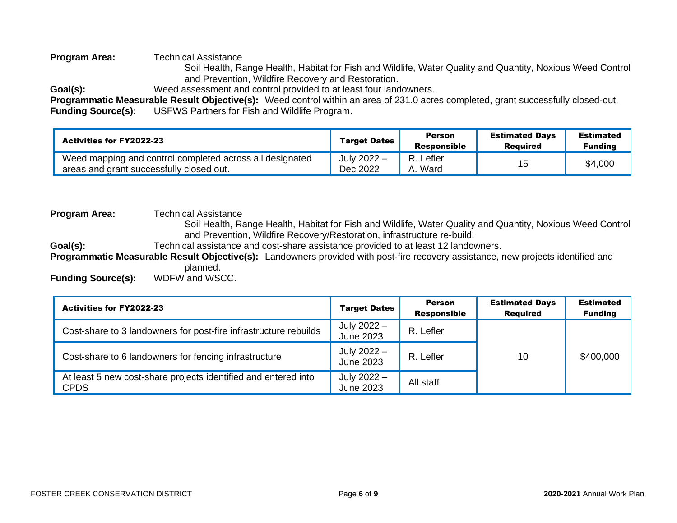#### **Program Area:** Technical Assistance

Soil Health, Range Health, Habitat for Fish and Wildlife, Water Quality and Quantity, Noxious Weed Control and Prevention, Wildfire Recovery and Restoration.

**Goal(s):** Weed assessment and control provided to at least four landowners.

**Programmatic Measurable Result Objective(s):** Weed control within an area of 231.0 acres completed, grant successfully closed-out. **Funding Source(s):** USFWS Partners for Fish and Wildlife Program.

| <b>Activities for FY2022-23</b>                                                                      | <b>Target Dates</b>     | Person<br><b>Responsible</b> | <b>Estimated Days</b><br>Reauired | <b>Estimated</b><br><b>Funding</b> |
|------------------------------------------------------------------------------------------------------|-------------------------|------------------------------|-----------------------------------|------------------------------------|
| Weed mapping and control completed across all designated<br>areas and grant successfully closed out. | July 2022 -<br>Dec 2022 | . Lefler<br>R.<br>Ward<br>A. |                                   | \$4,000                            |

**Program Area:** Technical Assistance Soil Health, Range Health, Habitat for Fish and Wildlife, Water Quality and Quantity, Noxious Weed Control and Prevention, Wildfire Recovery/Restoration, infrastructure re-build. Goal(s): Technical assistance and cost-share assistance provided to at least 12 landowners. **Programmatic Measurable Result Objective(s):** Landowners provided with post-fire recovery assistance, new projects identified and planned. **Funding Source(s):** WDFW and WSCC.

| <b>Activities for FY2022-23</b>                                               | <b>Target Dates</b>             | <b>Person</b><br><b>Responsible</b> | <b>Estimated Days</b><br><b>Required</b> | <b>Estimated</b><br><b>Funding</b> |
|-------------------------------------------------------------------------------|---------------------------------|-------------------------------------|------------------------------------------|------------------------------------|
| Cost-share to 3 landowners for post-fire infrastructure rebuilds              | July 2022 -<br><b>June 2023</b> | R. Lefler                           |                                          |                                    |
| Cost-share to 6 landowners for fencing infrastructure                         | July 2022 -<br>June 2023        | R. Lefler                           | 10                                       | \$400,000                          |
| At least 5 new cost-share projects identified and entered into<br><b>CPDS</b> | July 2022 -<br><b>June 2023</b> | All staff                           |                                          |                                    |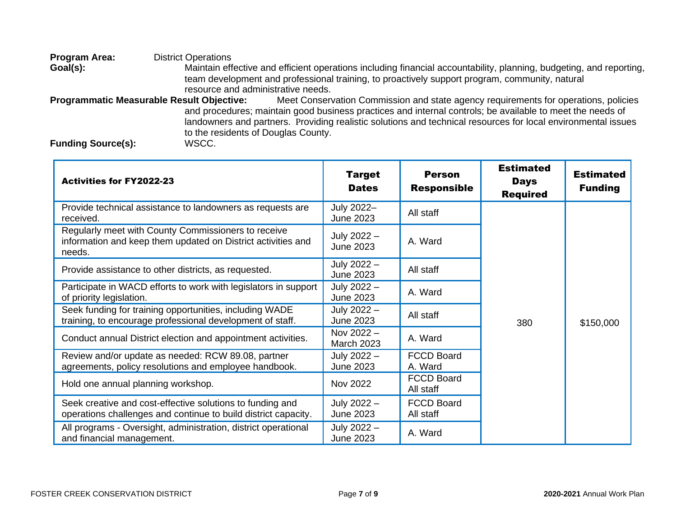**Program Area:** District Operations<br> **Goal(s):** Maintain eff Maintain effective and efficient operations including financial accountability, planning, budgeting, and reporting, team development and professional training, to proactively support program, community, natural resource and administrative needs. **Programmatic Measurable Result Objective:** Meet Conservation Commission and state agency requirements for operations, policies and procedures; maintain good business practices and internal controls; be available to meet the needs of landowners and partners. Providing realistic solutions and technical resources for local environmental issues to the residents of Douglas County.

**Funding Source(s):** 

| <b>Activities for FY2022-23</b>                                                                                               | <b>Target</b><br><b>Dates</b>     | <b>Person</b><br><b>Responsible</b> | <b>Estimated</b><br><b>Days</b><br><b>Required</b> | <b>Estimated</b><br><b>Funding</b> |
|-------------------------------------------------------------------------------------------------------------------------------|-----------------------------------|-------------------------------------|----------------------------------------------------|------------------------------------|
| Provide technical assistance to landowners as requests are<br>received.                                                       | July 2022-<br><b>June 2023</b>    | All staff                           |                                                    |                                    |
| Regularly meet with County Commissioners to receive<br>information and keep them updated on District activities and<br>needs. | July 2022 -<br><b>June 2023</b>   | A. Ward                             |                                                    |                                    |
| Provide assistance to other districts, as requested.                                                                          | July 2022 -<br><b>June 2023</b>   | All staff                           |                                                    |                                    |
| Participate in WACD efforts to work with legislators in support<br>of priority legislation.                                   | July 2022 -<br><b>June 2023</b>   | A. Ward                             |                                                    |                                    |
| Seek funding for training opportunities, including WADE<br>training, to encourage professional development of staff.          | July 2022 -<br><b>June 2023</b>   | All staff                           | 380                                                | \$150,000                          |
| Conduct annual District election and appointment activities.                                                                  | Nov $2022 -$<br><b>March 2023</b> | A. Ward                             |                                                    |                                    |
| Review and/or update as needed: RCW 89.08, partner<br>agreements, policy resolutions and employee handbook.                   | July 2022 -<br><b>June 2023</b>   | <b>FCCD Board</b><br>A. Ward        |                                                    |                                    |
| Hold one annual planning workshop.                                                                                            | Nov 2022                          | <b>FCCD Board</b><br>All staff      |                                                    |                                    |
| Seek creative and cost-effective solutions to funding and<br>operations challenges and continue to build district capacity.   | July 2022 -<br><b>June 2023</b>   | <b>FCCD Board</b><br>All staff      |                                                    |                                    |
| All programs - Oversight, administration, district operational<br>and financial management.                                   | July 2022 -<br><b>June 2023</b>   | A. Ward                             |                                                    |                                    |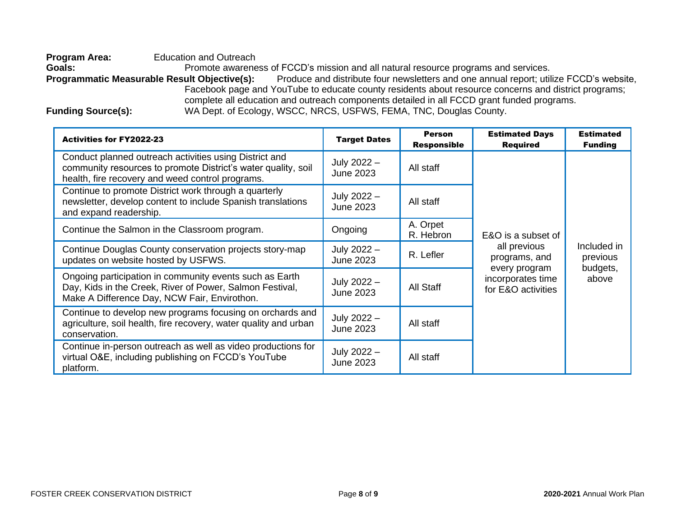**Program Area:** Education and Outreach Goals: Promote awareness of FCCD's mission and all natural resource programs and services.<br>**Programmatic Measurable Result Objective(s):** Produce and distribute four newsletters and one annual report; util Produce and distribute four newsletters and one annual report; utilize FCCD's website, Facebook page and YouTube to educate county residents about resource concerns and district programs; complete all education and outreach components detailed in all FCCD grant funded programs. Funding Source(s): WA Dept. of Ecology, WSCC, NRCS, USFWS, FEMA, TNC, Douglas County.

| <b>Activities for FY2022-23</b>                                                                                                                                             | <b>Target Dates</b>             | <b>Person</b><br><b>Responsible</b> | <b>Estimated Days</b><br><b>Required</b>                 | <b>Estimated</b><br><b>Funding</b>  |
|-----------------------------------------------------------------------------------------------------------------------------------------------------------------------------|---------------------------------|-------------------------------------|----------------------------------------------------------|-------------------------------------|
| Conduct planned outreach activities using District and<br>community resources to promote District's water quality, soil<br>health, fire recovery and weed control programs. | July 2022 -<br><b>June 2023</b> | All staff                           |                                                          |                                     |
| Continue to promote District work through a quarterly<br>newsletter, develop content to include Spanish translations<br>and expand readership.                              | July 2022 -<br><b>June 2023</b> | All staff                           |                                                          |                                     |
| Continue the Salmon in the Classroom program.                                                                                                                               | Ongoing                         | A. Orpet<br>R. Hebron               | E&O is a subset of                                       |                                     |
| Continue Douglas County conservation projects story-map<br>updates on website hosted by USFWS.                                                                              | July 2022 -<br><b>June 2023</b> | R. Lefler                           | all previous<br>programs, and                            | Included in<br>previous<br>budgets, |
| Ongoing participation in community events such as Earth<br>Day, Kids in the Creek, River of Power, Salmon Festival,<br>Make A Difference Day, NCW Fair, Envirothon.         | July 2022 -<br><b>June 2023</b> | All Staff                           | every program<br>incorporates time<br>for E&O activities | above                               |
| Continue to develop new programs focusing on orchards and<br>agriculture, soil health, fire recovery, water quality and urban<br>conservation.                              | July 2022 -<br><b>June 2023</b> | All staff                           |                                                          |                                     |
| Continue in-person outreach as well as video productions for<br>virtual O&E, including publishing on FCCD's YouTube<br>platform.                                            | July 2022 -<br>June 2023        | All staff                           |                                                          |                                     |